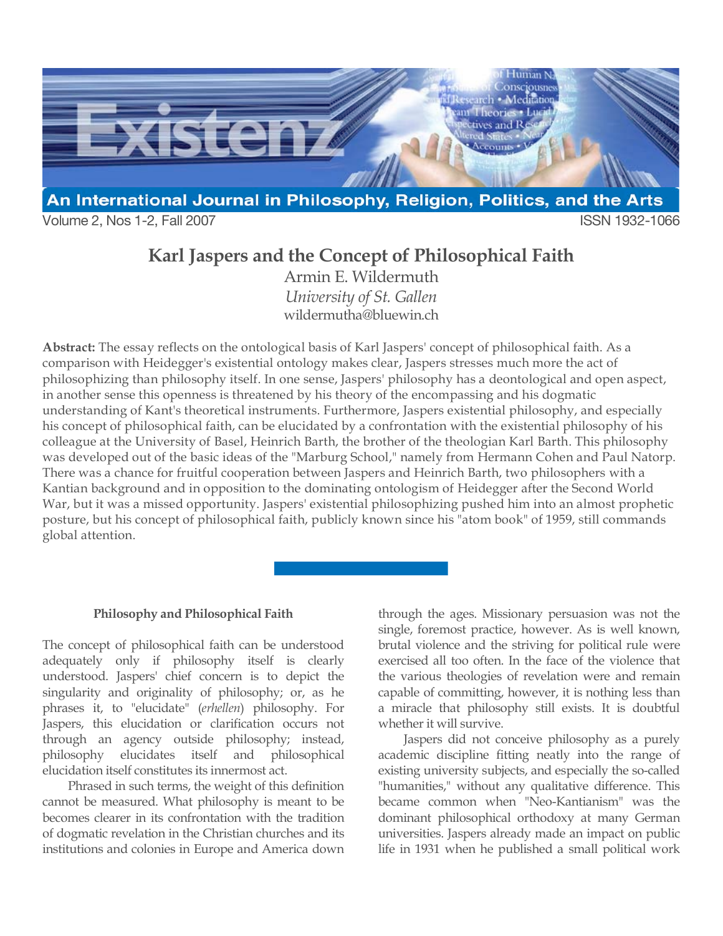

Volume 2, Nos 1-2, Fall 2007 **ISSN 1932-1066** 

# **Karl Jaspers and the Concept of Philosophical Faith**

Armin E. Wildermuth *University of St. Gallen* wildermutha@bluewin.ch

**Abstract:** The essay reflects on the ontological basis of Karl Jaspers' concept of philosophical faith. As a comparison with Heidegger's existential ontology makes clear, Jaspers stresses much more the act of philosophizing than philosophy itself. In one sense, Jaspers' philosophy has a deontological and open aspect, in another sense this openness is threatened by his theory of the encompassing and his dogmatic understanding of Kant's theoretical instruments. Furthermore, Jaspers existential philosophy, and especially his concept of philosophical faith, can be elucidated by a confrontation with the existential philosophy of his colleague at the University of Basel, Heinrich Barth, the brother of the theologian Karl Barth. This philosophy was developed out of the basic ideas of the "Marburg School," namely from Hermann Cohen and Paul Natorp. There was a chance for fruitful cooperation between Jaspers and Heinrich Barth, two philosophers with a Kantian background and in opposition to the dominating ontologism of Heidegger after the Second World War, but it was a missed opportunity. Jaspers' existential philosophizing pushed him into an almost prophetic posture, but his concept of philosophical faith, publicly known since his "atom book" of 1959, still commands global attention.

#### **Philosophy and Philosophical Faith**

The concept of philosophical faith can be understood adequately only if philosophy itself is clearly understood. Jaspers' chief concern is to depict the singularity and originality of philosophy; or, as he phrases it, to "elucidate" (*erhellen*) philosophy. For Jaspers, this elucidation or clarification occurs not through an agency outside philosophy; instead, philosophy elucidates itself and philosophical elucidation itself constitutes its innermost act.

Phrased in such terms, the weight of this definition cannot be measured. What philosophy is meant to be becomes clearer in its confrontation with the tradition of dogmatic revelation in the Christian churches and its institutions and colonies in Europe and America down through the ages. Missionary persuasion was not the single, foremost practice, however. As is well known, brutal violence and the striving for political rule were exercised all too often. In the face of the violence that the various theologies of revelation were and remain capable of committing, however, it is nothing less than a miracle that philosophy still exists. It is doubtful whether it will survive.

Jaspers did not conceive philosophy as a purely academic discipline fitting neatly into the range of existing university subjects, and especially the so-called "humanities," without any qualitative difference. This became common when "Neo-Kantianism" was the dominant philosophical orthodoxy at many German universities. Jaspers already made an impact on public life in 1931 when he published a small political work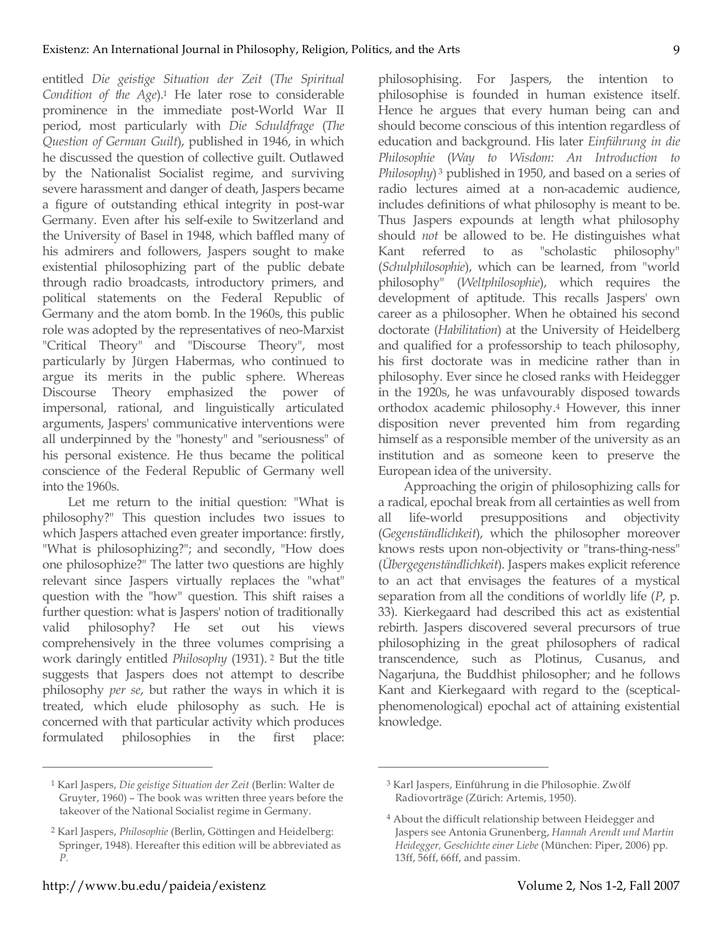entitled *Die geistige Situation der Zeit* (*The Spiritual Condition of the Age*). <sup>1</sup> He later rose to considerable prominence in the immediate post-World War II period, most particularly with *Die Schuldfrage* (*The Question of German Guilt*), published in 1946, in which he discussed the question of collective guilt. Outlawed by the Nationalist Socialist regime, and surviving severe harassment and danger of death, Jaspers became a figure of outstanding ethical integrity in post-war Germany. Even after his self-exile to Switzerland and the University of Basel in 1948, which baffled many of his admirers and followers, Jaspers sought to make existential philosophizing part of the public debate through radio broadcasts, introductory primers, and political statements on the Federal Republic of Germany and the atom bomb. In the 1960s, this public role was adopted by the representatives of neo-Marxist "Critical Theory" and "Discourse Theory", most particularly by Jürgen Habermas, who continued to argue its merits in the public sphere. Whereas Discourse Theory emphasized the power of impersonal, rational, and linguistically articulated arguments, Jaspers' communicative interventions were all underpinned by the "honesty" and "seriousness" of his personal existence. He thus became the political conscience of the Federal Republic of Germany well into the 1960s.

Let me return to the initial question: "What is philosophy?" This question includes two issues to which Jaspers attached even greater importance: firstly, "What is philosophizing?"; and secondly, "How does one philosophize?" The latter two questions are highly relevant since Jaspers virtually replaces the "what" question with the "how" question. This shift raises a further question: what is Jaspers' notion of traditionally valid philosophy? He set out his views comprehensively in the three volumes comprising a work daringly entitled *Philosophy* (1931). <sup>2</sup> But the title suggests that Jaspers does not attempt to describe philosophy *per se*, but rather the ways in which it is treated, which elude philosophy as such. He is concerned with that particular activity which produces formulated philosophies in the first place:

knowledge.  $\overline{a}$ 

philosophising. For Jaspers, the intention to philosophise is founded in human existence itself. Hence he argues that every human being can and should become conscious of this intention regardless of education and background. His later *Einführung in die Philosophie* (*Way to Wisdom: An Introduction to Philosophy*) <sup>3</sup> published in 1950, and based on a series of radio lectures aimed at a non-academic audience, includes definitions of what philosophy is meant to be. Thus Jaspers expounds at length what philosophy should *not* be allowed to be. He distinguishes what Kant referred to as "scholastic philosophy" (*Schulphilosophie*), which can be learned, from "world philosophy" (*Weltphilosophie*), which requires the development of aptitude. This recalls Jaspers' own career as a philosopher. When he obtained his second doctorate (*Habilitation*) at the University of Heidelberg and qualified for a professorship to teach philosophy, his first doctorate was in medicine rather than in philosophy. Ever since he closed ranks with Heidegger in the 1920s, he was unfavourably disposed towards orthodox academic philosophy.4 However, this inner disposition never prevented him from regarding himself as a responsible member of the university as an institution and as someone keen to preserve the European idea of the university.

Approaching the origin of philosophizing calls for a radical, epochal break from all certainties as well from all life-world presuppositions and objectivity (*Gegenständlichkeit*), which the philosopher moreover knows rests upon non-objectivity or "trans-thing-ness" (*Übergegenständlichkeit*). Jaspers makes explicit reference to an act that envisages the features of a mystical separation from all the conditions of worldly life (*P*, p. 33). Kierkegaard had described this act as existential rebirth. Jaspers discovered several precursors of true philosophizing in the great philosophers of radical transcendence, such as Plotinus, Cusanus, and Nagarjuna, the Buddhist philosopher; and he follows Kant and Kierkegaard with regard to the (scepticalphenomenological) epochal act of attaining existential

<sup>1</sup> Karl Jaspers, *Die geistige Situation der Zeit* (Berlin: Walter de Gruyter, 1960) – The book was written three years before the takeover of the National Socialist regime in Germany.

<sup>2</sup> Karl Jaspers, *Philosophie* (Berlin, Göttingen and Heidelberg: Springer, 1948). Hereafter this edition will be abbreviated as *P.*

<sup>3</sup> Karl Jaspers, Einführung in die Philosophie. Zwölf Radiovorträge (Zürich: Artemis, 1950).

<sup>4</sup> About the difficult relationship between Heidegger and Jaspers see Antonia Grunenberg, *Hannah Arendt und Martin Heidegger, Geschichte einer Liebe* (München: Piper, 2006) pp. 13ff, 56ff, 66ff, and passim.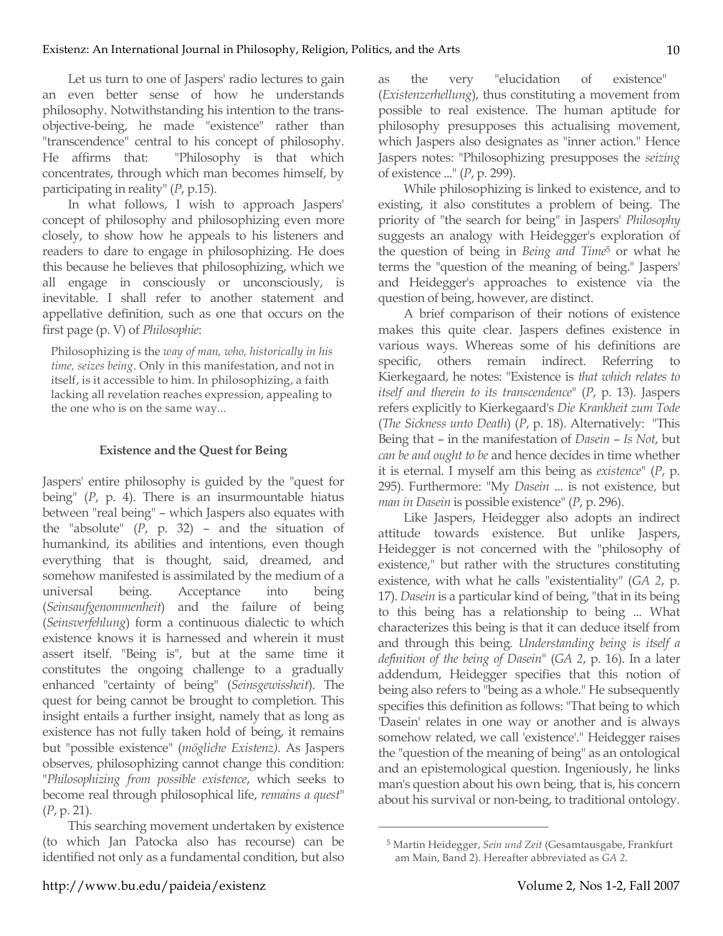Let us turn to one of Jaspers' radio lectures to gain an even better sense of how he understands philosophy. Notwithstanding his intention to the transobjective-being, he made "existence" rather than "transcendence" central to his concept of philosophy. He affirms that: "Philosophy is that which concentrates, through which man becomes himself, by participating in reality" (*P*, p.15).

In what follows, I wish to approach Jaspers' concept of philosophy and philosophizing even more closely, to show how he appeals to his listeners and readers to dare to engage in philosophizing. He does this because he believes that philosophizing, which we all engage in consciously or unconsciously, is inevitable. I shall refer to another statement and appellative definition, such as one that occurs on the first page (p. V) of *Philosophie*:

Philosophizing is the *way of man, who, historically in his time, seizes being*. Only in this manifestation, and not in itself, is it accessible to him. In philosophizing, a faith lacking all revelation reaches expression, appealing to the one who is on the same way...

### **Existence and the Quest for Being**

Jaspers' entire philosophy is guided by the "quest for being" (*P*, p. 4). There is an insurmountable hiatus between "real being" – which Jaspers also equates with the "absolute" (*P*, p. 32) – and the situation of humankind, its abilities and intentions, even though everything that is thought, said, dreamed, and somehow manifested is assimilated by the medium of a universal being. Acceptance into being (*Seinsaufgenommenheit*) and the failure of being (*Seinsverfehlung*) form a continuous dialectic to which existence knows it is harnessed and wherein it must assert itself. "Being is", but at the same time it constitutes the ongoing challenge to a gradually enhanced "certainty of being" (*Seinsgewissheit*). The quest for being cannot be brought to completion. This insight entails a further insight, namely that as long as existence has not fully taken hold of being, it remains but "possible existence" (*mögliche Existenz)*. As Jaspers observes, philosophizing cannot change this condition: "*Philosophizing from possible existence*, which seeks to become real through philosophical life, *remains a quest*" (*P*, p. 21).

This searching movement undertaken by existence (to which Jan Patocka also has recourse) can be identified not only as a fundamental condition, but also as the very "elucidation of existence" (*Existenzerhellung*), thus constituting a movement from possible to real existence. The human aptitude for philosophy presupposes this actualising movement, which Jaspers also designates as "inner action." Hence Jaspers notes: "Philosophizing presupposes the *seizing* of existence ..." (*P*, p. 299).

While philosophizing is linked to existence, and to existing, it also constitutes a problem of being. The priority of "the search for being" in Jaspers' *Philosophy* suggests an analogy with Heidegger's exploration of the question of being in *Being and Time*<sup>5</sup> or what he terms the "question of the meaning of being." Jaspers' and Heidegger's approaches to existence via the question of being, however, are distinct.

A brief comparison of their notions of existence makes this quite clear. Jaspers defines existence in various ways. Whereas some of his definitions are specific, others remain indirect. Referring to Kierkegaard, he notes: "Existence is *that which relates to itself and therein to its transcendence*" (*P*, p. 13). Jaspers refers explicitly to Kierkegaard's *Die Krankheit zum Tode* (*The Sickness unto Death*) (*P*, p. 18). Alternatively: "This Being that – in the manifestation of *Dasein* – *Is Not*, but *can be and ought to be* and hence decides in time whether it is eternal. I myself am this being as *existence*" (*P*, p. 295). Furthermore: "My *Dasein* ... is not existence, but *man in Dasein* is possible existence" (*P*, p. 296).

Like Jaspers, Heidegger also adopts an indirect attitude towards existence. But unlike Jaspers, Heidegger is not concerned with the "philosophy of existence," but rather with the structures constituting existence, with what he calls "existentiality" (*GA 2*, p. 17). *Dasein* is a particular kind of being, "that in its being to this being has a relationship to being ... What characterizes this being is that it can deduce itself from and through this being*. Understanding being is itself a definition of the being of Dasein*" (*GA 2*, p. 16). In a later addendum, Heidegger specifies that this notion of being also refers to "being as a whole." He subsequently specifies this definition as follows: "That being to which 'Dasein' relates in one way or another and is always somehow related, we call 'existence'." Heidegger raises the "question of the meaning of being" as an ontological and an epistemological question. Ingeniously, he links man's question about his own being, that is, his concern about his survival or non-being, to traditional ontology.

<sup>5</sup> Martin Heidegger, *Sein und Zeit* (Gesamtausgabe, Frankfurt am Main, Band 2). Hereafter abbreviated as *GA 2*.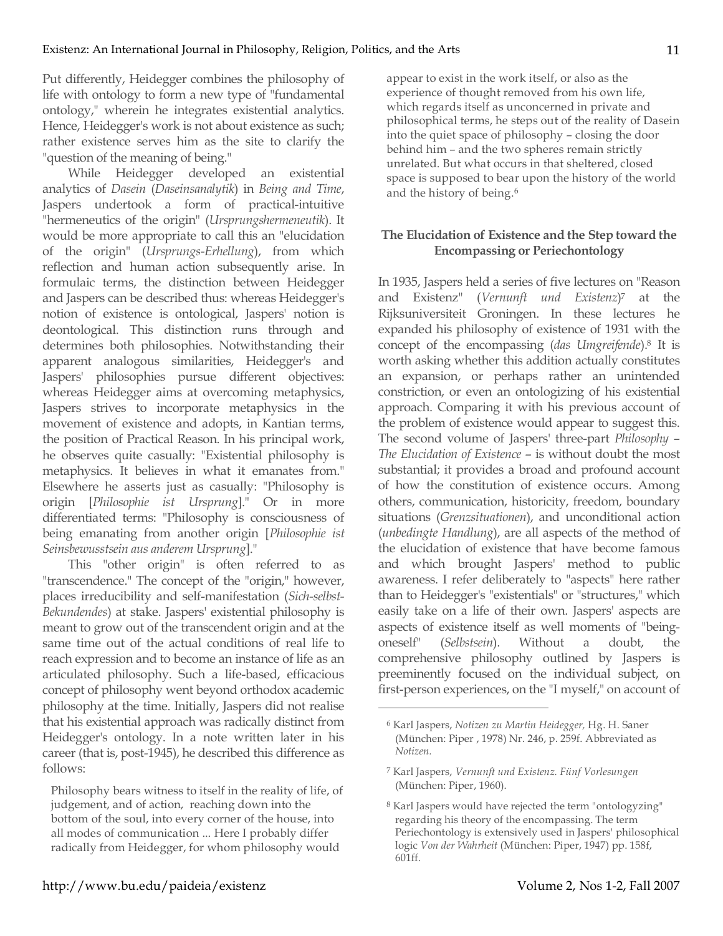Put differently, Heidegger combines the philosophy of life with ontology to form a new type of "fundamental ontology," wherein he integrates existential analytics. Hence, Heidegger's work is not about existence as such; rather existence serves him as the site to clarify the "question of the meaning of being."

While Heidegger developed an existential analytics of *Dasein* (*Daseinsanalytik*) in *Being and Time*, Jaspers undertook a form of practical-intuitive "hermeneutics of the origin" (*Ursprungshermeneutik*). It would be more appropriate to call this an "elucidation of the origin" (*Ursprungs-Erhellung*), from which reflection and human action subsequently arise. In formulaic terms, the distinction between Heidegger and Jaspers can be described thus: whereas Heidegger's notion of existence is ontological, Jaspers' notion is deontological. This distinction runs through and determines both philosophies. Notwithstanding their apparent analogous similarities, Heidegger's and Jaspers' philosophies pursue different objectives: whereas Heidegger aims at overcoming metaphysics, Jaspers strives to incorporate metaphysics in the movement of existence and adopts, in Kantian terms, the position of Practical Reason. In his principal work, he observes quite casually: "Existential philosophy is metaphysics. It believes in what it emanates from." Elsewhere he asserts just as casually: "Philosophy is origin [*Philosophie ist Ursprung*]." Or in more differentiated terms: "Philosophy is consciousness of being emanating from another origin [*Philosophie ist Seinsbewusstsein aus anderem Ursprung*]."

This "other origin" is often referred to as "transcendence." The concept of the "origin," however, places irreducibility and self-manifestation (*Sich-selbst-Bekundendes*) at stake. Jaspers' existential philosophy is meant to grow out of the transcendent origin and at the same time out of the actual conditions of real life to reach expression and to become an instance of life as an articulated philosophy. Such a life-based, efficacious concept of philosophy went beyond orthodox academic philosophy at the time. Initially, Jaspers did not realise that his existential approach was radically distinct from Heidegger's ontology. In a note written later in his career (that is, post-1945), he described this difference as follows:

Philosophy bears witness to itself in the reality of life, of judgement, and of action, reaching down into the bottom of the soul, into every corner of the house, into all modes of communication ... Here I probably differ radically from Heidegger, for whom philosophy would

appear to exist in the work itself, or also as the experience of thought removed from his own life, which regards itself as unconcerned in private and philosophical terms, he steps out of the reality of Dasein into the quiet space of philosophy – closing the door behind him – and the two spheres remain strictly unrelated. But what occurs in that sheltered, closed space is supposed to bear upon the history of the world and the history of being.6

# **The Elucidation of Existence and the Step toward the Encompassing or Periechontology**

In 1935, Jaspers held a series of five lectures on "Reason and Existenz" (*Vernunft und Existenz*)7 at the Rijksuniversiteit Groningen. In these lectures he expanded his philosophy of existence of 1931 with the concept of the encompassing (*das Umgreifende*). <sup>8</sup> It is worth asking whether this addition actually constitutes an expansion, or perhaps rather an unintended constriction, or even an ontologizing of his existential approach. Comparing it with his previous account of the problem of existence would appear to suggest this. The second volume of Jaspers' three-part *Philosophy* – *The Elucidation of Existence* – is without doubt the most substantial; it provides a broad and profound account of how the constitution of existence occurs. Among others, communication, historicity, freedom, boundary situations (*Grenzsituationen*), and unconditional action (*unbedingte Handlung*), are all aspects of the method of the elucidation of existence that have become famous and which brought Jaspers' method to public awareness. I refer deliberately to "aspects" here rather than to Heidegger's "existentials" or "structures," which easily take on a life of their own. Jaspers' aspects are aspects of existence itself as well moments of "beingoneself" (*Selbstsein*). Without a doubt, the comprehensive philosophy outlined by Jaspers is preeminently focused on the individual subject, on first-person experiences, on the "I myself," on account of

<sup>6</sup> Karl Jaspers, *Notizen zu Martin Heidegger,* Hg. H. Saner (München: Piper , 1978) Nr. 246, p. 259f. Abbreviated as *Notizen.*

<sup>7</sup> Karl Jaspers, *Vernunft und Existenz. Fünf Vorlesungen* (München: Piper, 1960).

<sup>8</sup> Karl Jaspers would have rejected the term "ontologyzing" regarding his theory of the encompassing. The term Periechontology is extensively used in Jaspers' philosophical logic *Von der Wahrheit* (München: Piper, 1947) pp. 158f, 601ff.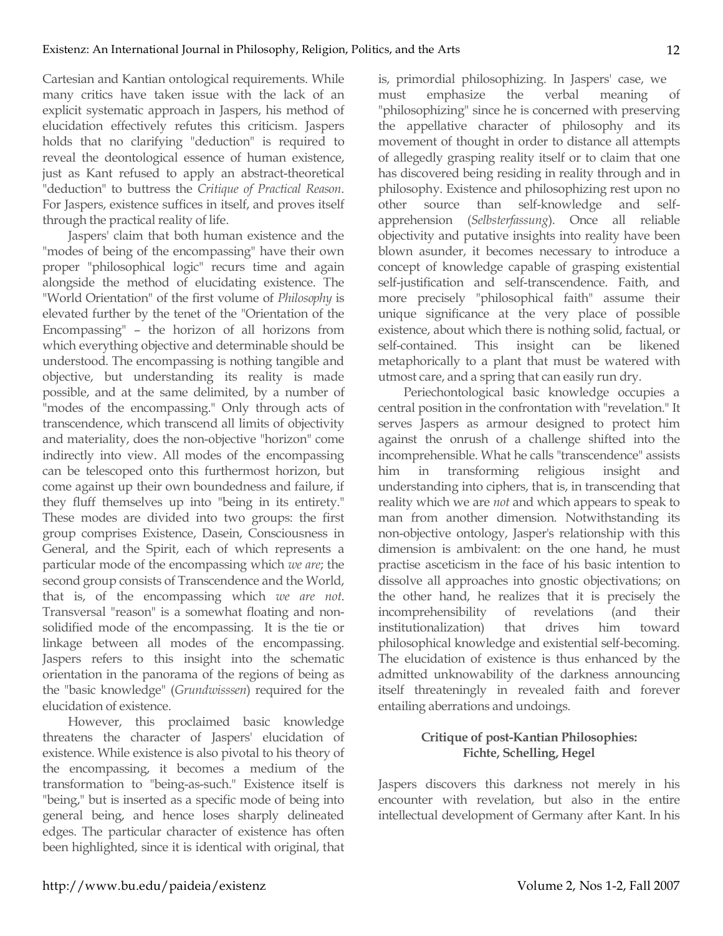Cartesian and Kantian ontological requirements. While many critics have taken issue with the lack of an explicit systematic approach in Jaspers, his method of elucidation effectively refutes this criticism. Jaspers holds that no clarifying "deduction" is required to reveal the deontological essence of human existence, just as Kant refused to apply an abstract-theoretical "deduction" to buttress the *Critique of Practical Reason*. For Jaspers, existence suffices in itself, and proves itself through the practical reality of life.

Jaspers' claim that both human existence and the "modes of being of the encompassing" have their own proper "philosophical logic" recurs time and again alongside the method of elucidating existence. The "World Orientation" of the first volume of *Philosophy* is elevated further by the tenet of the "Orientation of the Encompassing" – the horizon of all horizons from which everything objective and determinable should be understood. The encompassing is nothing tangible and objective, but understanding its reality is made possible, and at the same delimited, by a number of "modes of the encompassing." Only through acts of transcendence, which transcend all limits of objectivity and materiality, does the non-objective "horizon" come indirectly into view. All modes of the encompassing can be telescoped onto this furthermost horizon, but come against up their own boundedness and failure, if they fluff themselves up into "being in its entirety." These modes are divided into two groups: the first group comprises Existence, Dasein, Consciousness in General, and the Spirit, each of which represents a particular mode of the encompassing which *we are*; the second group consists of Transcendence and the World, that is, of the encompassing which *we are not*. Transversal "reason" is a somewhat floating and nonsolidified mode of the encompassing. It is the tie or linkage between all modes of the encompassing. Jaspers refers to this insight into the schematic orientation in the panorama of the regions of being as the "basic knowledge" (*Grundwisssen*) required for the elucidation of existence.

However, this proclaimed basic knowledge threatens the character of Jaspers' elucidation of existence. While existence is also pivotal to his theory of the encompassing, it becomes a medium of the transformation to "being-as-such." Existence itself is "being," but is inserted as a specific mode of being into general being, and hence loses sharply delineated edges. The particular character of existence has often been highlighted, since it is identical with original, that

is, primordial philosophizing. In Jaspers' case, we must emphasize the verbal meaning of "philosophizing" since he is concerned with preserving the appellative character of philosophy and its movement of thought in order to distance all attempts of allegedly grasping reality itself or to claim that one has discovered being residing in reality through and in philosophy. Existence and philosophizing rest upon no other source than self-knowledge and selfapprehension (*Selbsterfassung*). Once all reliable objectivity and putative insights into reality have been blown asunder, it becomes necessary to introduce a concept of knowledge capable of grasping existential self-justification and self-transcendence. Faith, and more precisely "philosophical faith" assume their unique significance at the very place of possible existence, about which there is nothing solid, factual, or self-contained. This insight can be likened metaphorically to a plant that must be watered with utmost care, and a spring that can easily run dry.

Periechontological basic knowledge occupies a central position in the confrontation with "revelation." It serves Jaspers as armour designed to protect him against the onrush of a challenge shifted into the incomprehensible. What he calls "transcendence" assists him in transforming religious insight and understanding into ciphers, that is, in transcending that reality which we are *not* and which appears to speak to man from another dimension. Notwithstanding its non-objective ontology, Jasper's relationship with this dimension is ambivalent: on the one hand, he must practise asceticism in the face of his basic intention to dissolve all approaches into gnostic objectivations; on the other hand, he realizes that it is precisely the incomprehensibility of revelations (and their institutionalization) that drives him toward philosophical knowledge and existential self-becoming. The elucidation of existence is thus enhanced by the admitted unknowability of the darkness announcing itself threateningly in revealed faith and forever entailing aberrations and undoings.

# **Critique of post-Kantian Philosophies: Fichte, Schelling, Hegel**

Jaspers discovers this darkness not merely in his encounter with revelation, but also in the entire intellectual development of Germany after Kant. In his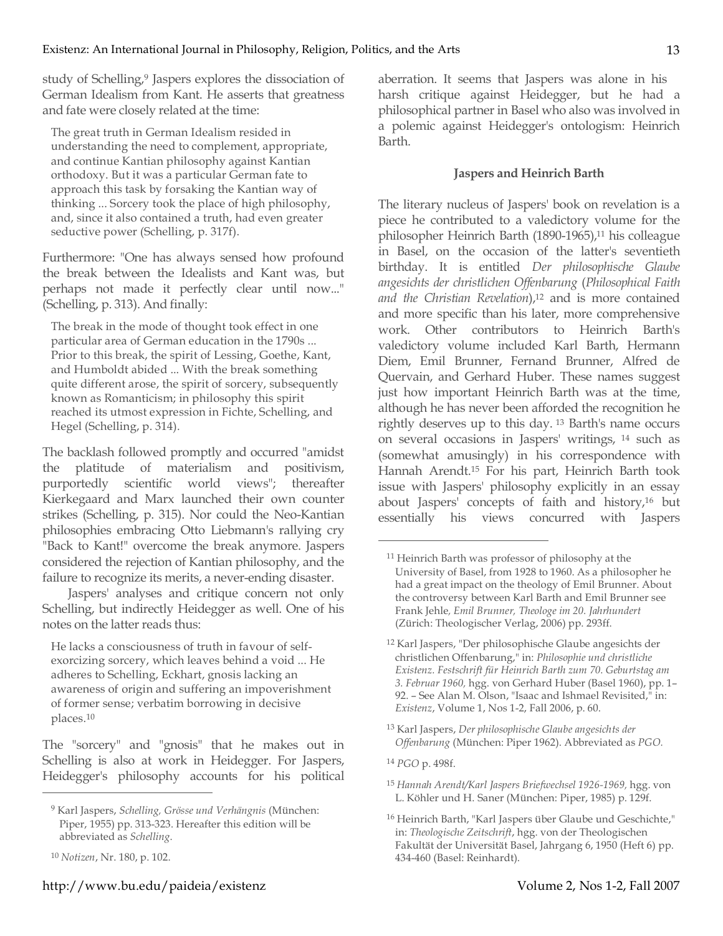study of Schelling,<sup>9</sup> Jaspers explores the dissociation of German Idealism from Kant. He asserts that greatness and fate were closely related at the time:

The great truth in German Idealism resided in understanding the need to complement, appropriate, and continue Kantian philosophy against Kantian orthodoxy. But it was a particular German fate to approach this task by forsaking the Kantian way of thinking ... Sorcery took the place of high philosophy, and, since it also contained a truth, had even greater seductive power (Schelling, p. 317f).

Furthermore: "One has always sensed how profound the break between the Idealists and Kant was, but perhaps not made it perfectly clear until now..." (Schelling, p. 313). And finally:

The break in the mode of thought took effect in one particular area of German education in the 1790s ... Prior to this break, the spirit of Lessing, Goethe, Kant, and Humboldt abided ... With the break something quite different arose, the spirit of sorcery, subsequently known as Romanticism; in philosophy this spirit reached its utmost expression in Fichte, Schelling, and Hegel (Schelling, p. 314).

The backlash followed promptly and occurred "amidst the platitude of materialism and positivism, purportedly scientific world views"; thereafter Kierkegaard and Marx launched their own counter strikes (Schelling, p. 315). Nor could the Neo-Kantian philosophies embracing Otto Liebmann's rallying cry "Back to Kant!" overcome the break anymore. Jaspers considered the rejection of Kantian philosophy, and the failure to recognize its merits, a never-ending disaster.

Jaspers' analyses and critique concern not only Schelling, but indirectly Heidegger as well. One of his notes on the latter reads thus:

He lacks a consciousness of truth in favour of selfexorcizing sorcery, which leaves behind a void ... He adheres to Schelling, Eckhart, gnosis lacking an awareness of origin and suffering an impoverishment of former sense; verbatim borrowing in decisive places.10

The "sorcery" and "gnosis" that he makes out in Schelling is also at work in Heidegger. For Jaspers, Heidegger's philosophy accounts for his political

 $\overline{a}$ 

aberration. It seems that Jaspers was alone in his harsh critique against Heidegger, but he had a philosophical partner in Basel who also was involved in a polemic against Heidegger's ontologism: Heinrich Barth.

### **Jaspers and Heinrich Barth**

The literary nucleus of Jaspers' book on revelation is a piece he contributed to a valedictory volume for the philosopher Heinrich Barth (1890-1965), <sup>11</sup> his colleague in Basel, on the occasion of the latter's seventieth birthday. It is entitled *Der philosophische Glaube angesichts der christlichen Offenbarung* (*Philosophical Faith* and *the Christian Revelation*),<sup>12</sup> and is more contained and more specific than his later, more comprehensive work. Other contributors to Heinrich Barth's valedictory volume included Karl Barth, Hermann Diem, Emil Brunner, Fernand Brunner, Alfred de Quervain, and Gerhard Huber. These names suggest just how important Heinrich Barth was at the time, although he has never been afforded the recognition he rightly deserves up to this day. <sup>13</sup> Barth's name occurs on several occasions in Jaspers' writings, <sup>14</sup> such as (somewhat amusingly) in his correspondence with Hannah Arendt.15 For his part, Heinrich Barth took issue with Jaspers' philosophy explicitly in an essay about Jaspers' concepts of faith and history,16 but essentially his views concurred with Jaspers

<sup>13</sup> Karl Jaspers, *Der philosophische Glaube angesichts der Offenbarung* (München: Piper 1962). Abbreviated as *PGO.*

<sup>14</sup> *PGO* p. 498f.

 $\overline{a}$ 

<sup>15</sup> *Hannah Arendt/Karl Jaspers Briefwechsel 1926-1969,* hgg. von L. Köhler und H. Saner (München: Piper, 1985) p. 129f.

<sup>9</sup> Karl Jaspers, *Schelling, Grösse und Verhängnis* (München: Piper, 1955) pp. 313-323. Hereafter this edition will be abbreviated as *Schelling*.

<sup>10</sup> *Notizen*, Nr. 180, p. 102.

<sup>11</sup> Heinrich Barth was professor of philosophy at the University of Basel, from 1928 to 1960. As a philosopher he had a great impact on the theology of Emil Brunner. About the controversy between Karl Barth and Emil Brunner see Frank Jehle*, Emil Brunner, Theologe im 20. Jahrhundert* (Zürich: Theologischer Verlag, 2006) pp. 293ff.

<sup>12</sup> Karl Jaspers, "Der philosophische Glaube angesichts der christlichen Offenbarung," in: *Philosophie und christliche Existenz. Festschrift für Heinrich Barth zum 70. Geburtstag am 3. Februar 1960,* hgg. von Gerhard Huber (Basel 1960), pp. 1– 92. – See Alan M. Olson, "Isaac and Ishmael Revisited," in: *Existenz*, Volume 1, Nos 1-2, Fall 2006, p. 60.

<sup>16</sup> Heinrich Barth, "Karl Jaspers über Glaube und Geschichte," in: *Theologische Zeitschrift*, hgg. von der Theologischen Fakultät der Universität Basel, Jahrgang 6, 1950 (Heft 6) pp. 434-460 (Basel: Reinhardt).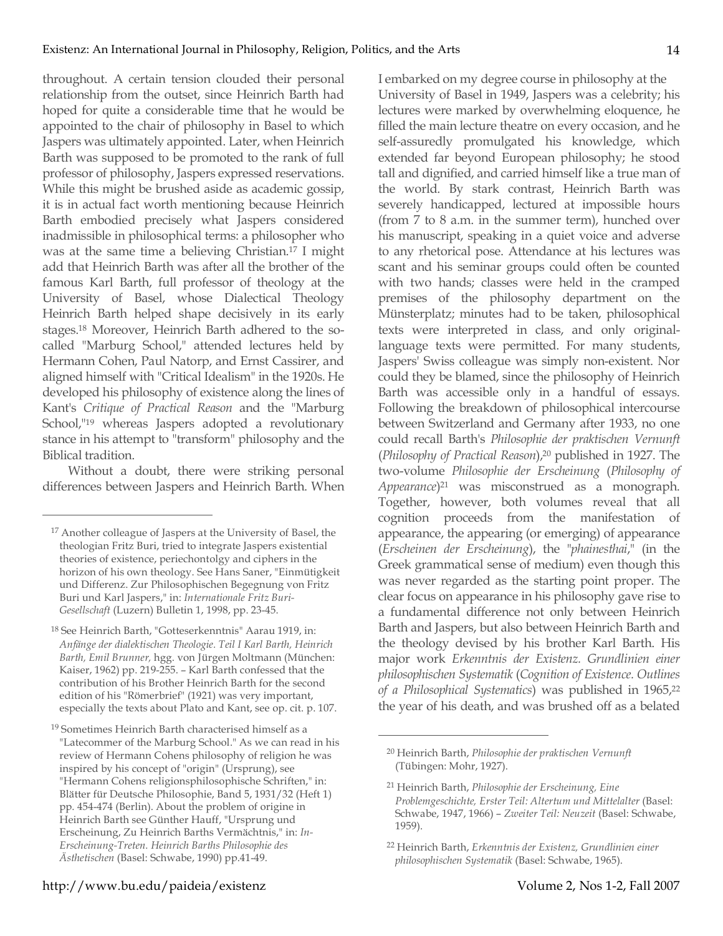throughout. A certain tension clouded their personal relationship from the outset, since Heinrich Barth had hoped for quite a considerable time that he would be appointed to the chair of philosophy in Basel to which Jaspers was ultimately appointed. Later, when Heinrich Barth was supposed to be promoted to the rank of full professor of philosophy, Jaspers expressed reservations. While this might be brushed aside as academic gossip, it is in actual fact worth mentioning because Heinrich Barth embodied precisely what Jaspers considered inadmissible in philosophical terms: a philosopher who was at the same time a believing Christian.17 I might add that Heinrich Barth was after all the brother of the famous Karl Barth, full professor of theology at the University of Basel, whose Dialectical Theology Heinrich Barth helped shape decisively in its early stages.18 Moreover, Heinrich Barth adhered to the socalled "Marburg School," attended lectures held by Hermann Cohen, Paul Natorp, and Ernst Cassirer, and aligned himself with "Critical Idealism" in the 1920s. He developed his philosophy of existence along the lines of Kant's *Critique of Practical Reason* and the "Marburg School,"19 whereas Jaspers adopted a revolutionary stance in his attempt to "transform" philosophy and the Biblical tradition.

Without a doubt, there were striking personal differences between Jaspers and Heinrich Barth. When

 $\overline{a}$ 

I embarked on my degree course in philosophy at the University of Basel in 1949, Jaspers was a celebrity; his lectures were marked by overwhelming eloquence, he filled the main lecture theatre on every occasion, and he self-assuredly promulgated his knowledge, which extended far beyond European philosophy; he stood tall and dignified, and carried himself like a true man of the world. By stark contrast, Heinrich Barth was severely handicapped, lectured at impossible hours (from 7 to 8 a.m. in the summer term), hunched over his manuscript, speaking in a quiet voice and adverse to any rhetorical pose. Attendance at his lectures was scant and his seminar groups could often be counted with two hands; classes were held in the cramped premises of the philosophy department on the Münsterplatz; minutes had to be taken, philosophical texts were interpreted in class, and only originallanguage texts were permitted. For many students, Jaspers' Swiss colleague was simply non-existent. Nor could they be blamed, since the philosophy of Heinrich Barth was accessible only in a handful of essays. Following the breakdown of philosophical intercourse between Switzerland and Germany after 1933, no one could recall Barth's *Philosophie der praktischen Vernunft* (*Philosophy of Practical Reason*), <sup>20</sup> published in 1927. The two-volume *Philosophie der Erscheinung* (*Philosophy of Appearance*)21 was misconstrued as a monograph. Together, however, both volumes reveal that all cognition proceeds from the manifestation of appearance, the appearing (or emerging) of appearance (*Erscheinen der Erscheinung*), the "*phainesthai*," (in the Greek grammatical sense of medium) even though this was never regarded as the starting point proper. The clear focus on appearance in his philosophy gave rise to a fundamental difference not only between Heinrich Barth and Jaspers, but also between Heinrich Barth and the theology devised by his brother Karl Barth. His major work *Erkenntnis der Existenz. Grundlinien einer philosophischen Systematik* (*Cognition of Existence. Outlines of a Philosophical Systematics*) was published in 1965, 22 the year of his death, and was brushed off as a belated

<sup>17</sup> Another colleague of Jaspers at the University of Basel, the theologian Fritz Buri, tried to integrate Jaspers existential theories of existence, periechontolgy and ciphers in the horizon of his own theology. See Hans Saner, "Einmütigkeit und Differenz. Zur Philosophischen Begegnung von Fritz Buri und Karl Jaspers," in: *Internationale Fritz Buri-Gesellschaft* (Luzern) Bulletin 1, 1998, pp. 23-45.

<sup>18</sup> See Heinrich Barth, "Gotteserkenntnis" Aarau 1919, in: *Anfänge der dialektischen Theologie. Teil I Karl Barth, Heinrich Barth, Emil Brunner,* hgg. von Jürgen Moltmann (München: Kaiser, 1962) pp. 219-255. – Karl Barth confessed that the contribution of his Brother Heinrich Barth for the second edition of his "Römerbrief" (1921) was very important, especially the texts about Plato and Kant, see op. cit. p. 107.

<sup>19</sup> Sometimes Heinrich Barth characterised himself as a "Latecommer of the Marburg School." As we can read in his review of Hermann Cohens philosophy of religion he was inspired by his concept of "origin" (Ursprung), see "Hermann Cohens religionsphilosophische Schriften," in: Blätter für Deutsche Philosophie, Band 5, 1931/32 (Heft 1) pp. 454-474 (Berlin). About the problem of origine in Heinrich Barth see Günther Hauff, "Ursprung und Erscheinung, Zu Heinrich Barths Vermächtnis," in: *In-Erscheinung-Treten. Heinrich Barths Philosophie des Ästhetischen* (Basel: Schwabe, 1990) pp.41-49.

<sup>20</sup> Heinrich Barth, *Philosophie der praktischen Vernunft* (Tübingen: Mohr, 1927).

<sup>21</sup> Heinrich Barth, *Philosophie der Erscheinung, Eine Problemgeschichte, Erster Teil: Altertum und Mittelalter* (Basel: Schwabe, 1947, 1966) – *Zweiter Teil: Neuzeit* (Basel: Schwabe, 1959).

<sup>22</sup> Heinrich Barth, *Erkenntnis der Existenz, Grundlinien einer philosophischen Systematik* (Basel: Schwabe, 1965).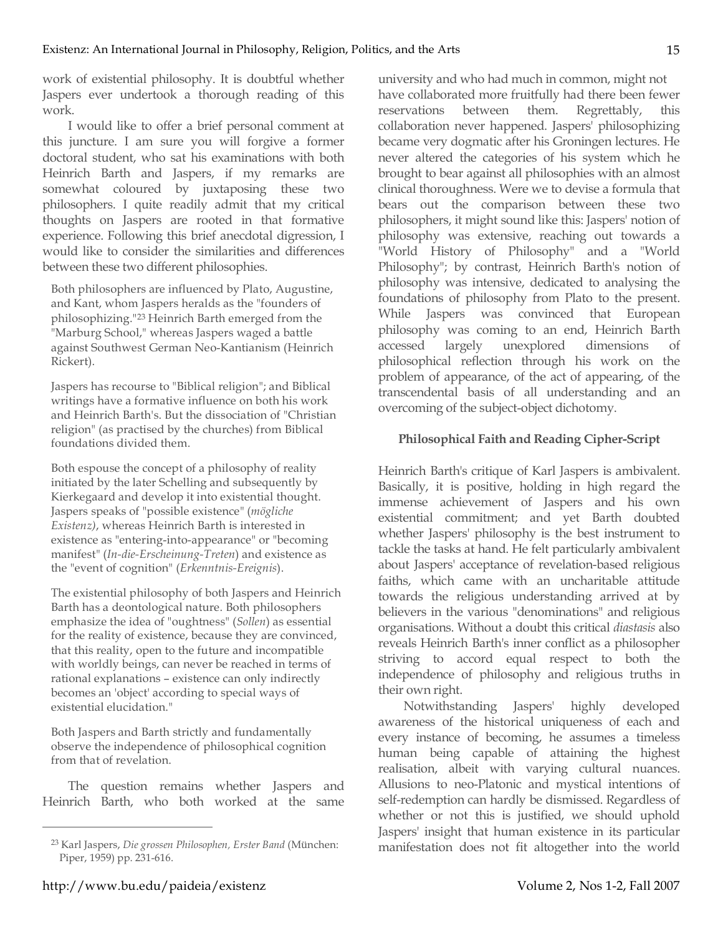work of existential philosophy. It is doubtful whether Jaspers ever undertook a thorough reading of this work.

I would like to offer a brief personal comment at this juncture. I am sure you will forgive a former doctoral student, who sat his examinations with both Heinrich Barth and Jaspers, if my remarks are somewhat coloured by juxtaposing these two philosophers. I quite readily admit that my critical thoughts on Jaspers are rooted in that formative experience. Following this brief anecdotal digression, I would like to consider the similarities and differences between these two different philosophies.

Both philosophers are influenced by Plato, Augustine, and Kant, whom Jaspers heralds as the "founders of philosophizing."23 Heinrich Barth emerged from the "Marburg School," whereas Jaspers waged a battle against Southwest German Neo-Kantianism (Heinrich Rickert).

Jaspers has recourse to "Biblical religion"; and Biblical writings have a formative influence on both his work and Heinrich Barth's. But the dissociation of "Christian religion" (as practised by the churches) from Biblical foundations divided them.

Both espouse the concept of a philosophy of reality initiated by the later Schelling and subsequently by Kierkegaard and develop it into existential thought. Jaspers speaks of "possible existence" (*mögliche Existenz)*, whereas Heinrich Barth is interested in existence as "entering-into-appearance" or "becoming manifest" (*In-die-Erscheinung-Treten*) and existence as the "event of cognition" (*Erkenntnis-Ereignis*).

The existential philosophy of both Jaspers and Heinrich Barth has a deontological nature. Both philosophers emphasize the idea of "oughtness" (*Sollen*) as essential for the reality of existence, because they are convinced, that this reality, open to the future and incompatible with worldly beings, can never be reached in terms of rational explanations – existence can only indirectly becomes an 'object' according to special ways of existential elucidation."

Both Jaspers and Barth strictly and fundamentally observe the independence of philosophical cognition from that of revelation.

The question remains whether Jaspers and Heinrich Barth, who both worked at the same university and who had much in common, might not have collaborated more fruitfully had there been fewer reservations between them. Regrettably, this collaboration never happened. Jaspers' philosophizing became very dogmatic after his Groningen lectures. He never altered the categories of his system which he brought to bear against all philosophies with an almost clinical thoroughness. Were we to devise a formula that bears out the comparison between these two philosophers, it might sound like this: Jaspers' notion of philosophy was extensive, reaching out towards a "World History of Philosophy" and a "World Philosophy"; by contrast, Heinrich Barth's notion of philosophy was intensive, dedicated to analysing the foundations of philosophy from Plato to the present. While Jaspers was convinced that European philosophy was coming to an end, Heinrich Barth accessed largely unexplored dimensions of philosophical reflection through his work on the problem of appearance, of the act of appearing, of the transcendental basis of all understanding and an overcoming of the subject-object dichotomy.

## **Philosophical Faith and Reading Cipher-Script**

Heinrich Barth's critique of Karl Jaspers is ambivalent. Basically, it is positive, holding in high regard the immense achievement of Jaspers and his own existential commitment; and yet Barth doubted whether Jaspers' philosophy is the best instrument to tackle the tasks at hand. He felt particularly ambivalent about Jaspers' acceptance of revelation-based religious faiths, which came with an uncharitable attitude towards the religious understanding arrived at by believers in the various "denominations" and religious organisations. Without a doubt this critical *diastasis* also reveals Heinrich Barth's inner conflict as a philosopher striving to accord equal respect to both the independence of philosophy and religious truths in their own right.

Notwithstanding Jaspers' highly developed awareness of the historical uniqueness of each and every instance of becoming, he assumes a timeless human being capable of attaining the highest realisation, albeit with varying cultural nuances. Allusions to neo-Platonic and mystical intentions of self-redemption can hardly be dismissed. Regardless of whether or not this is justified, we should uphold Jaspers' insight that human existence in its particular manifestation does not fit altogether into the world

<sup>23</sup> Karl Jaspers, *Die grossen Philosophen, Erster Band* (München: Piper, 1959) pp. 231-616.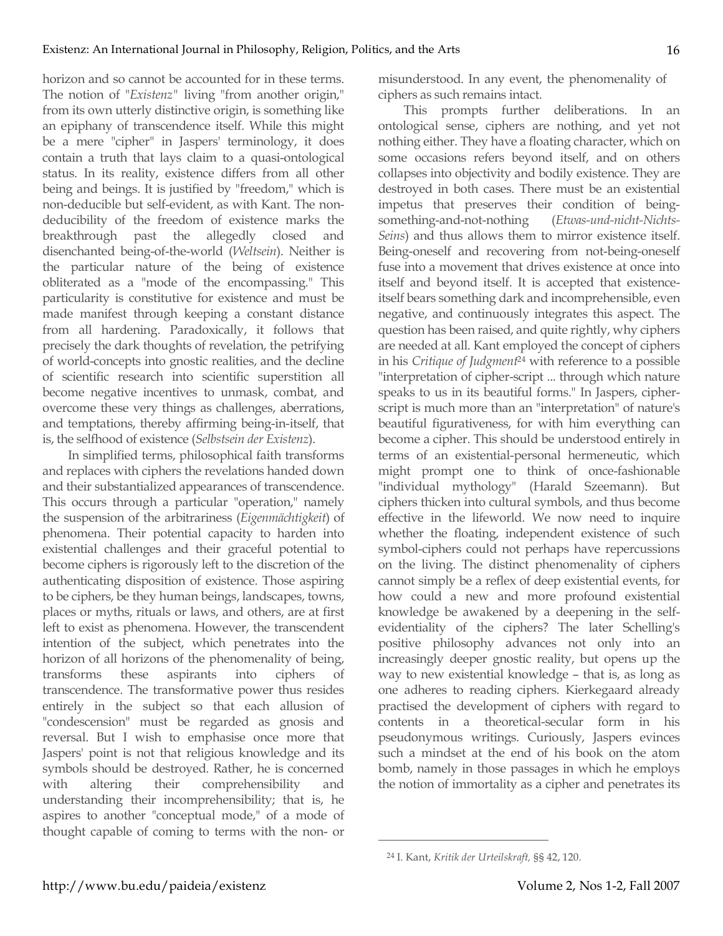horizon and so cannot be accounted for in these terms. The notion of "*Existenz"* living "from another origin," from its own utterly distinctive origin, is something like an epiphany of transcendence itself. While this might be a mere "cipher" in Jaspers' terminology, it does contain a truth that lays claim to a quasi-ontological status. In its reality, existence differs from all other being and beings. It is justified by "freedom," which is non-deducible but self-evident, as with Kant. The nondeducibility of the freedom of existence marks the breakthrough past the allegedly closed and disenchanted being-of-the-world (*Weltsein*). Neither is the particular nature of the being of existence obliterated as a "mode of the encompassing." This particularity is constitutive for existence and must be made manifest through keeping a constant distance from all hardening. Paradoxically, it follows that precisely the dark thoughts of revelation, the petrifying of world-concepts into gnostic realities, and the decline of scientific research into scientific superstition all become negative incentives to unmask, combat, and overcome these very things as challenges, aberrations, and temptations, thereby affirming being-in-itself, that is, the selfhood of existence (*Selbstsein der Existenz*).

In simplified terms, philosophical faith transforms and replaces with ciphers the revelations handed down and their substantialized appearances of transcendence. This occurs through a particular "operation," namely the suspension of the arbitrariness (*Eigenmächtigkeit*) of phenomena. Their potential capacity to harden into existential challenges and their graceful potential to become ciphers is rigorously left to the discretion of the authenticating disposition of existence. Those aspiring to be ciphers, be they human beings, landscapes, towns, places or myths, rituals or laws, and others, are at first left to exist as phenomena. However, the transcendent intention of the subject, which penetrates into the horizon of all horizons of the phenomenality of being, transforms these aspirants into ciphers of transcendence. The transformative power thus resides entirely in the subject so that each allusion of "condescension" must be regarded as gnosis and reversal. But I wish to emphasise once more that Jaspers' point is not that religious knowledge and its symbols should be destroyed. Rather, he is concerned with altering their comprehensibility and understanding their incomprehensibility; that is, he aspires to another "conceptual mode," of a mode of thought capable of coming to terms with the non- or

misunderstood. In any event, the phenomenality of ciphers as such remains intact.

This prompts further deliberations. In an ontological sense, ciphers are nothing, and yet not nothing either. They have a floating character, which on some occasions refers beyond itself, and on others collapses into objectivity and bodily existence. They are destroyed in both cases. There must be an existential impetus that preserves their condition of beingsomething-and-not-nothing (*Etwas-und-nicht-Nichts-Seins*) and thus allows them to mirror existence itself. Being-oneself and recovering from not-being-oneself fuse into a movement that drives existence at once into itself and beyond itself. It is accepted that existenceitself bears something dark and incomprehensible, even negative, and continuously integrates this aspect. The question has been raised, and quite rightly, why ciphers are needed at all. Kant employed the concept of ciphers in his *Critique of Judgment*<sup>24</sup> with reference to a possible "interpretation of cipher-script ... through which nature speaks to us in its beautiful forms." In Jaspers, cipherscript is much more than an "interpretation" of nature's beautiful figurativeness, for with him everything can become a cipher. This should be understood entirely in terms of an existential-personal hermeneutic, which might prompt one to think of once-fashionable "individual mythology" (Harald Szeemann). But ciphers thicken into cultural symbols, and thus become effective in the lifeworld. We now need to inquire whether the floating, independent existence of such symbol-ciphers could not perhaps have repercussions on the living. The distinct phenomenality of ciphers cannot simply be a reflex of deep existential events, for how could a new and more profound existential knowledge be awakened by a deepening in the selfevidentiality of the ciphers? The later Schelling's positive philosophy advances not only into an increasingly deeper gnostic reality, but opens up the way to new existential knowledge – that is, as long as one adheres to reading ciphers. Kierkegaard already practised the development of ciphers with regard to contents in a theoretical-secular form in his pseudonymous writings. Curiously, Jaspers evinces such a mindset at the end of his book on the atom bomb, namely in those passages in which he employs the notion of immortality as a cipher and penetrates its

<sup>24</sup> I. Kant, *Kritik der Urteilskraft,* §§ 42, 120.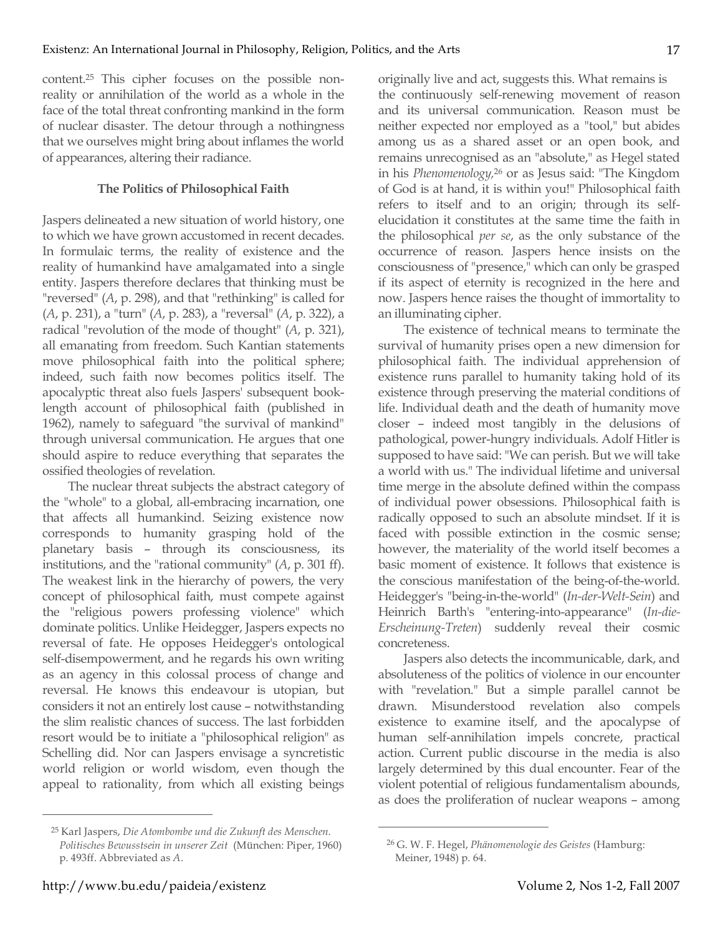content.25 This cipher focuses on the possible nonreality or annihilation of the world as a whole in the face of the total threat confronting mankind in the form of nuclear disaster. The detour through a nothingness that we ourselves might bring about inflames the world of appearances, altering their radiance.

#### **The Politics of Philosophical Faith**

Jaspers delineated a new situation of world history, one to which we have grown accustomed in recent decades. In formulaic terms, the reality of existence and the reality of humankind have amalgamated into a single entity. Jaspers therefore declares that thinking must be "reversed" (*A*, p. 298), and that "rethinking" is called for (*A*, p. 231), a "turn" (*A*, p. 283), a "reversal" (*A*, p. 322), a radical "revolution of the mode of thought" (*A*, p. 321), all emanating from freedom. Such Kantian statements move philosophical faith into the political sphere; indeed, such faith now becomes politics itself. The apocalyptic threat also fuels Jaspers' subsequent booklength account of philosophical faith (published in 1962), namely to safeguard "the survival of mankind" through universal communication. He argues that one should aspire to reduce everything that separates the ossified theologies of revelation.

The nuclear threat subjects the abstract category of the "whole" to a global, all-embracing incarnation, one that affects all humankind. Seizing existence now corresponds to humanity grasping hold of the planetary basis – through its consciousness, its institutions, and the "rational community" (*A*, p. 301 ff). The weakest link in the hierarchy of powers, the very concept of philosophical faith, must compete against the "religious powers professing violence" which dominate politics. Unlike Heidegger, Jaspers expects no reversal of fate. He opposes Heidegger's ontological self-disempowerment, and he regards his own writing as an agency in this colossal process of change and reversal. He knows this endeavour is utopian, but considers it not an entirely lost cause – notwithstanding the slim realistic chances of success. The last forbidden resort would be to initiate a "philosophical religion" as Schelling did. Nor can Jaspers envisage a syncretistic world religion or world wisdom, even though the appeal to rationality, from which all existing beings

originally live and act, suggests this. What remains is the continuously self-renewing movement of reason and its universal communication. Reason must be neither expected nor employed as a "tool," but abides among us as a shared asset or an open book, and remains unrecognised as an "absolute," as Hegel stated in his *Phenomenology,*<sup>26</sup> or as Jesus said: "The Kingdom of God is at hand, it is within you!" Philosophical faith refers to itself and to an origin; through its selfelucidation it constitutes at the same time the faith in the philosophical *per se*, as the only substance of the occurrence of reason. Jaspers hence insists on the consciousness of "presence," which can only be grasped if its aspect of eternity is recognized in the here and now. Jaspers hence raises the thought of immortality to an illuminating cipher.

The existence of technical means to terminate the survival of humanity prises open a new dimension for philosophical faith. The individual apprehension of existence runs parallel to humanity taking hold of its existence through preserving the material conditions of life. Individual death and the death of humanity move closer – indeed most tangibly in the delusions of pathological, power-hungry individuals. Adolf Hitler is supposed to have said: "We can perish. But we will take a world with us." The individual lifetime and universal time merge in the absolute defined within the compass of individual power obsessions. Philosophical faith is radically opposed to such an absolute mindset. If it is faced with possible extinction in the cosmic sense; however, the materiality of the world itself becomes a basic moment of existence. It follows that existence is the conscious manifestation of the being-of-the-world. Heidegger's "being-in-the-world" (*In-der-Welt-Sein*) and Heinrich Barth's "entering-into-appearance" (*In-die-Erscheinung-Treten*) suddenly reveal their cosmic concreteness.

Jaspers also detects the incommunicable, dark, and absoluteness of the politics of violence in our encounter with "revelation." But a simple parallel cannot be drawn. Misunderstood revelation also compels existence to examine itself, and the apocalypse of human self-annihilation impels concrete, practical action. Current public discourse in the media is also largely determined by this dual encounter. Fear of the violent potential of religious fundamentalism abounds, as does the proliferation of nuclear weapons – among

 $\overline{a}$ 

<sup>25</sup> Karl Jaspers, *Die Atombombe und die Zukunft des Menschen. Politisches Bewusstsein in unserer Zeit* (München: Piper, 1960) p. 493ff. Abbreviated as *A*.

<sup>26</sup> G. W. F. Hegel, *Phänomenologie des Geistes* (Hamburg: Meiner, 1948) p. 64.